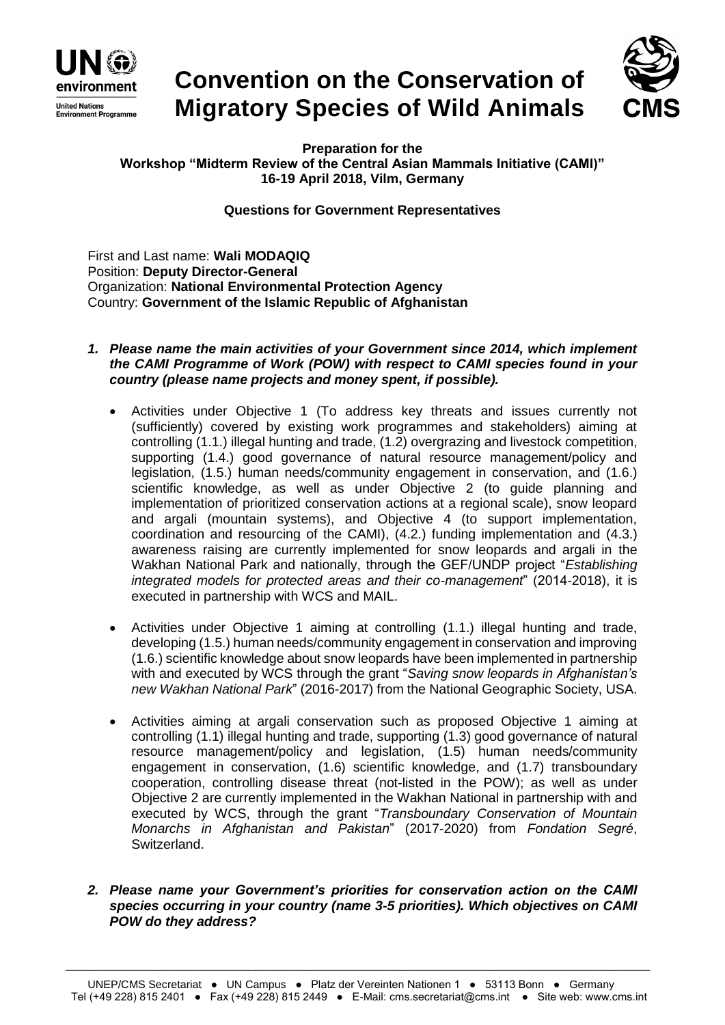

# **Convention on the Conservation of Migratory Species of Wild Animals**



**Preparation for the Workshop "Midterm Review of the Central Asian Mammals Initiative (CAMI)" 16-19 April 2018, Vilm, Germany**

# **Questions for Government Representatives**

First and Last name: **Wali MODAQIQ** Position: **Deputy Director-General** Organization: **National Environmental Protection Agency** Country: **Government of the Islamic Republic of Afghanistan**

- *1. Please name the main activities of your Government since 2014, which implement the CAMI Programme of Work (POW) with respect to CAMI species found in your country (please name projects and money spent, if possible).*
	- Activities under Objective 1 (To address key threats and issues currently not (sufficiently) covered by existing work programmes and stakeholders) aiming at controlling (1.1.) illegal hunting and trade, (1.2) overgrazing and livestock competition, supporting (1.4.) good governance of natural resource management/policy and legislation, (1.5.) human needs/community engagement in conservation, and (1.6.) scientific knowledge, as well as under Objective 2 (to guide planning and implementation of prioritized conservation actions at a regional scale), snow leopard and argali (mountain systems), and Objective 4 (to support implementation, coordination and resourcing of the CAMI), (4.2.) funding implementation and (4.3.) awareness raising are currently implemented for snow leopards and argali in the Wakhan National Park and nationally, through the GEF/UNDP project "*Establishing integrated models for protected areas and their co-management*" (2014-2018), it is executed in partnership with WCS and MAIL.
	- Activities under Objective 1 aiming at controlling (1.1.) illegal hunting and trade, developing (1.5.) human needs/community engagement in conservation and improving (1.6.) scientific knowledge about snow leopards have been implemented in partnership with and executed by WCS through the grant "*Saving snow leopards in Afghanistan's new Wakhan National Park*" (2016-2017) from the National Geographic Society, USA.
	- Activities aiming at argali conservation such as proposed Objective 1 aiming at controlling (1.1) illegal hunting and trade, supporting (1.3) good governance of natural resource management/policy and legislation, (1.5) human needs/community engagement in conservation, (1.6) scientific knowledge, and (1.7) transboundary cooperation, controlling disease threat (not-listed in the POW); as well as under Objective 2 are currently implemented in the Wakhan National in partnership with and executed by WCS, through the grant "*Transboundary Conservation of Mountain Monarchs in Afghanistan and Pakistan*" (2017-2020) from *Fondation Segré*, Switzerland.
- *2. Please name your Government's priorities for conservation action on the CAMI species occurring in your country (name 3-5 priorities). Which objectives on CAMI POW do they address?*

\_\_\_\_\_\_\_\_\_\_\_\_\_\_\_\_\_\_\_\_\_\_\_\_\_\_\_\_\_\_\_\_\_\_\_\_\_\_\_\_\_\_\_\_\_\_\_\_\_\_\_\_\_\_\_\_\_\_\_\_\_\_\_\_\_\_\_\_\_\_\_\_\_\_\_\_\_\_\_\_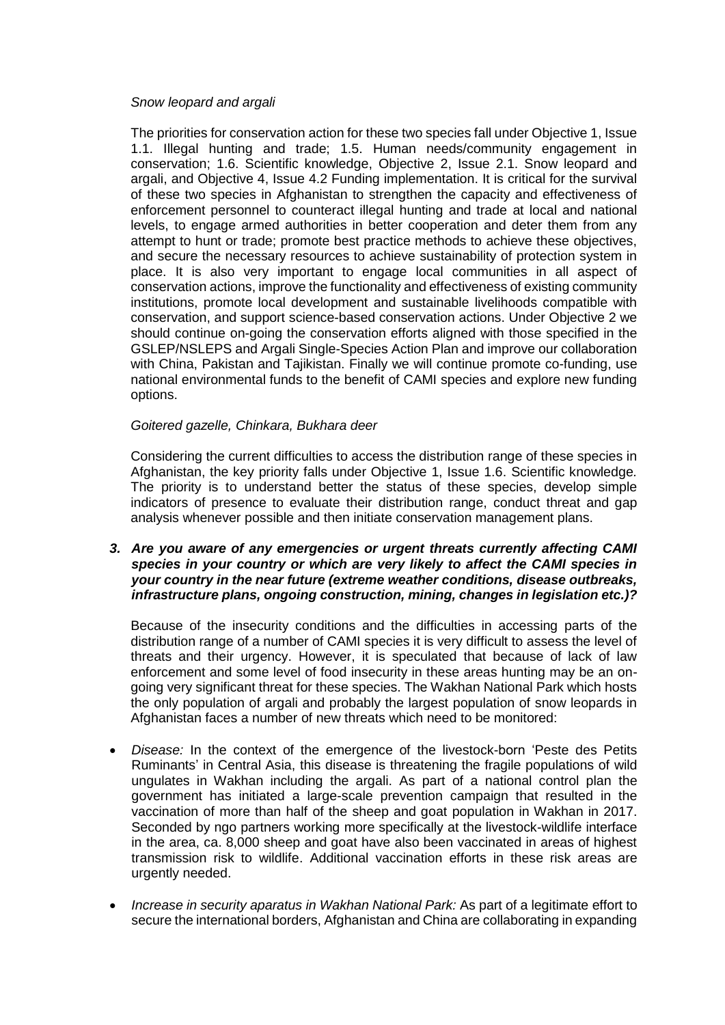#### *Snow leopard and argali*

The priorities for conservation action for these two species fall under Objective 1, Issue 1.1. Illegal hunting and trade; 1.5. Human needs/community engagement in conservation; 1.6. Scientific knowledge, Objective 2, Issue 2.1. Snow leopard and argali, and Objective 4, Issue 4.2 Funding implementation. It is critical for the survival of these two species in Afghanistan to strengthen the capacity and effectiveness of enforcement personnel to counteract illegal hunting and trade at local and national levels, to engage armed authorities in better cooperation and deter them from any attempt to hunt or trade; promote best practice methods to achieve these objectives, and secure the necessary resources to achieve sustainability of protection system in place. It is also very important to engage local communities in all aspect of conservation actions, improve the functionality and effectiveness of existing community institutions, promote local development and sustainable livelihoods compatible with conservation, and support science-based conservation actions. Under Objective 2 we should continue on-going the conservation efforts aligned with those specified in the GSLEP/NSLEPS and Argali Single-Species Action Plan and improve our collaboration with China, Pakistan and Tajikistan. Finally we will continue promote co-funding, use national environmental funds to the benefit of CAMI species and explore new funding options.

## *Goitered gazelle, Chinkara, Bukhara deer*

Considering the current difficulties to access the distribution range of these species in Afghanistan, the key priority falls under Objective 1, Issue 1.6. Scientific knowledge*.* The priority is to understand better the status of these species, develop simple indicators of presence to evaluate their distribution range, conduct threat and gap analysis whenever possible and then initiate conservation management plans.

*3. Are you aware of any emergencies or urgent threats currently affecting CAMI species in your country or which are very likely to affect the CAMI species in your country in the near future (extreme weather conditions, disease outbreaks, infrastructure plans, ongoing construction, mining, changes in legislation etc.)?* 

Because of the insecurity conditions and the difficulties in accessing parts of the distribution range of a number of CAMI species it is very difficult to assess the level of threats and their urgency. However, it is speculated that because of lack of law enforcement and some level of food insecurity in these areas hunting may be an ongoing very significant threat for these species. The Wakhan National Park which hosts the only population of argali and probably the largest population of snow leopards in Afghanistan faces a number of new threats which need to be monitored:

- *Disease:* In the context of the emergence of the livestock-born 'Peste des Petits Ruminants' in Central Asia, this disease is threatening the fragile populations of wild ungulates in Wakhan including the argali. As part of a national control plan the government has initiated a large-scale prevention campaign that resulted in the vaccination of more than half of the sheep and goat population in Wakhan in 2017. Seconded by ngo partners working more specifically at the livestock-wildlife interface in the area, ca. 8,000 sheep and goat have also been vaccinated in areas of highest transmission risk to wildlife. Additional vaccination efforts in these risk areas are urgently needed.
- *Increase in security aparatus in Wakhan National Park:* As part of a legitimate effort to secure the international borders, Afghanistan and China are collaborating in expanding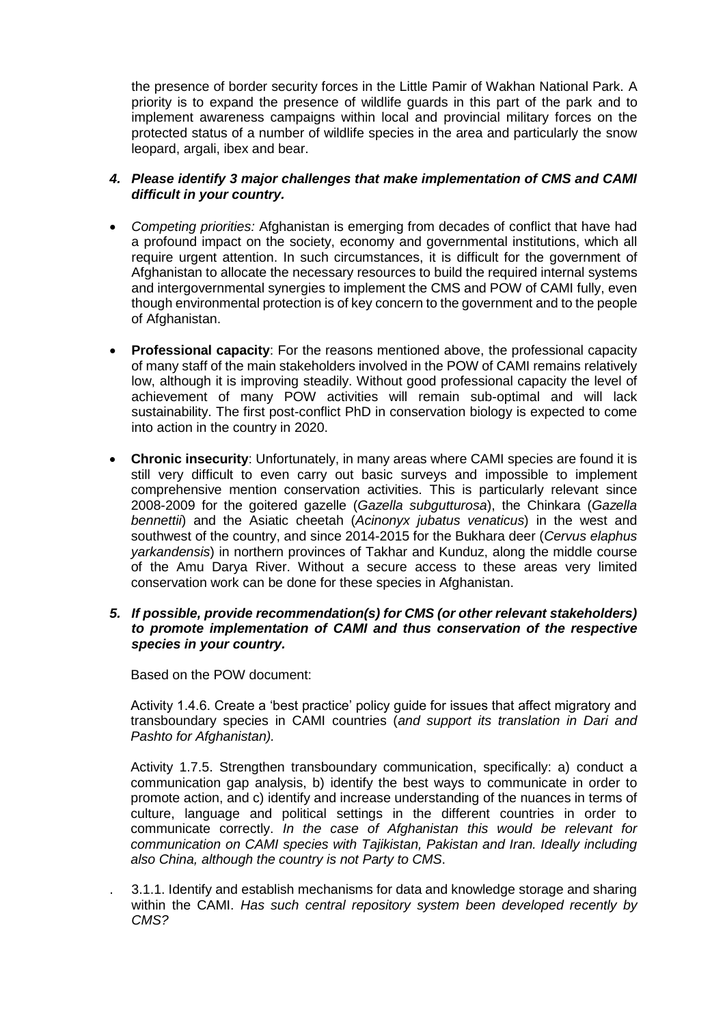the presence of border security forces in the Little Pamir of Wakhan National Park. A priority is to expand the presence of wildlife guards in this part of the park and to implement awareness campaigns within local and provincial military forces on the protected status of a number of wildlife species in the area and particularly the snow leopard, argali, ibex and bear.

### *4. Please identify 3 major challenges that make implementation of CMS and CAMI difficult in your country.*

- *Competing priorities:* Afghanistan is emerging from decades of conflict that have had a profound impact on the society, economy and governmental institutions, which all require urgent attention. In such circumstances, it is difficult for the government of Afghanistan to allocate the necessary resources to build the required internal systems and intergovernmental synergies to implement the CMS and POW of CAMI fully, even though environmental protection is of key concern to the government and to the people of Afghanistan.
- **Professional capacity**: For the reasons mentioned above, the professional capacity of many staff of the main stakeholders involved in the POW of CAMI remains relatively low, although it is improving steadily. Without good professional capacity the level of achievement of many POW activities will remain sub-optimal and will lack sustainability. The first post-conflict PhD in conservation biology is expected to come into action in the country in 2020.
- **Chronic insecurity**: Unfortunately, in many areas where CAMI species are found it is still very difficult to even carry out basic surveys and impossible to implement comprehensive mention conservation activities. This is particularly relevant since 2008-2009 for the goitered gazelle (*Gazella subgutturosa*), the Chinkara (*Gazella bennettii*) and the Asiatic cheetah (*Acinonyx jubatus venaticus*) in the west and southwest of the country, and since 2014-2015 for the Bukhara deer (*Cervus elaphus yarkandensis*) in northern provinces of Takhar and Kunduz, along the middle course of the Amu Darya River. Without a secure access to these areas very limited conservation work can be done for these species in Afghanistan.

### *5. If possible, provide recommendation(s) for CMS (or other relevant stakeholders) to promote implementation of CAMI and thus conservation of the respective species in your country.*

Based on the POW document:

Activity 1.4.6. Create a 'best practice' policy guide for issues that affect migratory and transboundary species in CAMI countries (*and support its translation in Dari and Pashto for Afghanistan).*

Activity 1.7.5. Strengthen transboundary communication, specifically: a) conduct a communication gap analysis, b) identify the best ways to communicate in order to promote action, and c) identify and increase understanding of the nuances in terms of culture, language and political settings in the different countries in order to communicate correctly. *In the case of Afghanistan this would be relevant for communication on CAMI species with Tajikistan, Pakistan and Iran. Ideally including also China, although the country is not Party to CMS*.

. 3.1.1. Identify and establish mechanisms for data and knowledge storage and sharing within the CAMI. *Has such central repository system been developed recently by CMS?*